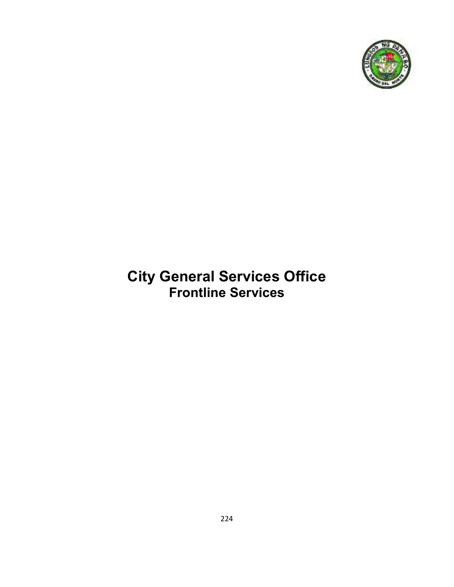

# **City General Services Office Frontline Services**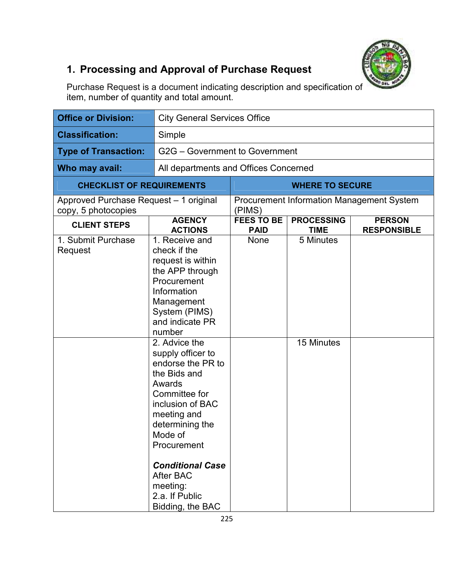

# **1. Processing and Approval of Purchase Request**

Purchase Request is a document indicating description and specification of item, number of quantity and total amount.

| <b>Office or Division:</b>                                    | <b>City General Services Office</b>                                                                                                                                                                                                                                                                                                                                                                                                              |                                  |                                  |                                                  |
|---------------------------------------------------------------|--------------------------------------------------------------------------------------------------------------------------------------------------------------------------------------------------------------------------------------------------------------------------------------------------------------------------------------------------------------------------------------------------------------------------------------------------|----------------------------------|----------------------------------|--------------------------------------------------|
| <b>Classification:</b>                                        | Simple                                                                                                                                                                                                                                                                                                                                                                                                                                           |                                  |                                  |                                                  |
| <b>Type of Transaction:</b>                                   | G2G - Government to Government                                                                                                                                                                                                                                                                                                                                                                                                                   |                                  |                                  |                                                  |
| Who may avail:                                                | All departments and Offices Concerned                                                                                                                                                                                                                                                                                                                                                                                                            |                                  |                                  |                                                  |
| <b>CHECKLIST OF REQUIREMENTS</b>                              |                                                                                                                                                                                                                                                                                                                                                                                                                                                  |                                  | <b>WHERE TO SECURE</b>           |                                                  |
| Approved Purchase Request - 1 original<br>copy, 5 photocopies |                                                                                                                                                                                                                                                                                                                                                                                                                                                  | (PIMS)                           |                                  | <b>Procurement Information Management System</b> |
| <b>CLIENT STEPS</b>                                           | <b>AGENCY</b><br><b>ACTIONS</b>                                                                                                                                                                                                                                                                                                                                                                                                                  | <b>FEES TO BE</b><br><b>PAID</b> | <b>PROCESSING</b><br><b>TIME</b> | <b>PERSON</b><br><b>RESPONSIBLE</b>              |
| 1. Submit Purchase<br>Request                                 | 1. Receive and<br>check if the<br>request is within<br>the APP through<br>Procurement<br>Information<br>Management<br>System (PIMS)<br>and indicate PR<br>number<br>2. Advice the<br>supply officer to<br>endorse the PR to<br>the Bids and<br>Awards<br>Committee for<br>inclusion of BAC<br>meeting and<br>determining the<br>Mode of<br>Procurement<br><b>Conditional Case</b><br>After BAC<br>meeting:<br>2.a. If Public<br>Bidding, the BAC | None                             | 5 Minutes<br>15 Minutes          |                                                  |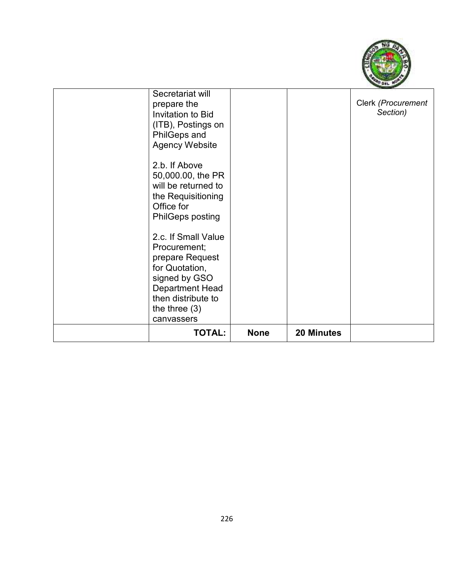

| Secretariat will<br>prepare the<br><b>Invitation to Bid</b><br>(ITB), Postings on<br>PhilGeps and<br><b>Agency Website</b>                                                 |             |            | Clerk (Procurement<br>Section) |
|----------------------------------------------------------------------------------------------------------------------------------------------------------------------------|-------------|------------|--------------------------------|
| 2.b. If Above<br>50,000.00, the PR<br>will be returned to<br>the Requisitioning<br>Office for<br><b>PhilGeps posting</b>                                                   |             |            |                                |
| 2.c. If Small Value<br>Procurement;<br>prepare Request<br>for Quotation,<br>signed by GSO<br><b>Department Head</b><br>then distribute to<br>the three $(3)$<br>canvassers |             |            |                                |
| <b>TOTAL:</b>                                                                                                                                                              | <b>None</b> | 20 Minutes |                                |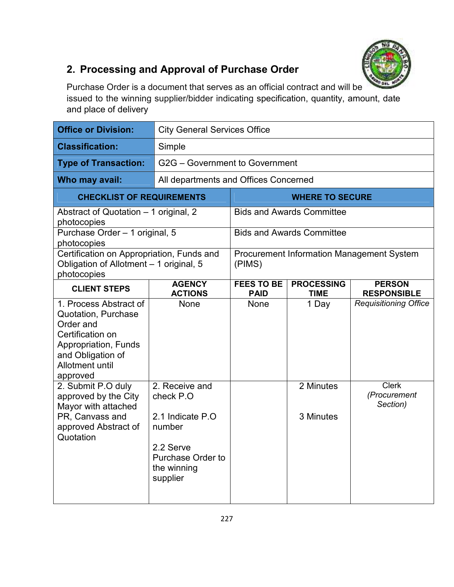

### **2. Processing and Approval of Purchase Order**

Purchase Order is a document that serves as an official contract and will be issued to the winning supplier/bidder indicating specification, quantity, amount, date and place of delivery

| <b>Office or Division:</b>                                                                                                                                        | <b>City General Services Office</b>                              |                                  |                                  |                                                  |
|-------------------------------------------------------------------------------------------------------------------------------------------------------------------|------------------------------------------------------------------|----------------------------------|----------------------------------|--------------------------------------------------|
| <b>Classification:</b>                                                                                                                                            | Simple                                                           |                                  |                                  |                                                  |
| <b>Type of Transaction:</b>                                                                                                                                       | G2G - Government to Government                                   |                                  |                                  |                                                  |
| Who may avail:                                                                                                                                                    | All departments and Offices Concerned                            |                                  |                                  |                                                  |
| <b>CHECKLIST OF REQUIREMENTS</b>                                                                                                                                  |                                                                  |                                  | <b>WHERE TO SECURE</b>           |                                                  |
| Abstract of Quotation - 1 original, 2<br>photocopies                                                                                                              |                                                                  |                                  | <b>Bids and Awards Committee</b> |                                                  |
| Purchase Order - 1 original, 5<br>photocopies                                                                                                                     |                                                                  |                                  | <b>Bids and Awards Committee</b> |                                                  |
| Certification on Appropriation, Funds and<br>Obligation of Allotment - 1 original, 5<br>photocopies                                                               |                                                                  | (PIMS)                           |                                  | <b>Procurement Information Management System</b> |
| <b>CLIENT STEPS</b>                                                                                                                                               | <b>AGENCY</b><br><b>ACTIONS</b>                                  | <b>FEES TO BE</b><br><b>PAID</b> | <b>PROCESSING</b><br>TIME        | <b>PERSON</b><br><b>RESPONSIBLE</b>              |
| 1. Process Abstract of<br><b>Quotation, Purchase</b><br>Order and<br>Certification on<br>Appropriation, Funds<br>and Obligation of<br>Allotment until<br>approved | None                                                             | <b>None</b>                      | 1 Day                            | <b>Requisitioning Office</b>                     |
| 2. Submit P.O duly<br>approved by the City<br>Mayor with attached                                                                                                 | 2. Receive and<br>check P.O                                      |                                  | 2 Minutes                        | <b>Clerk</b><br>(Procurement<br>Section)         |
| PR, Canvass and<br>approved Abstract of<br>Quotation                                                                                                              | 2.1 Indicate P.O.<br>number                                      |                                  | 3 Minutes                        |                                                  |
|                                                                                                                                                                   | 2.2 Serve<br><b>Purchase Order to</b><br>the winning<br>supplier |                                  |                                  |                                                  |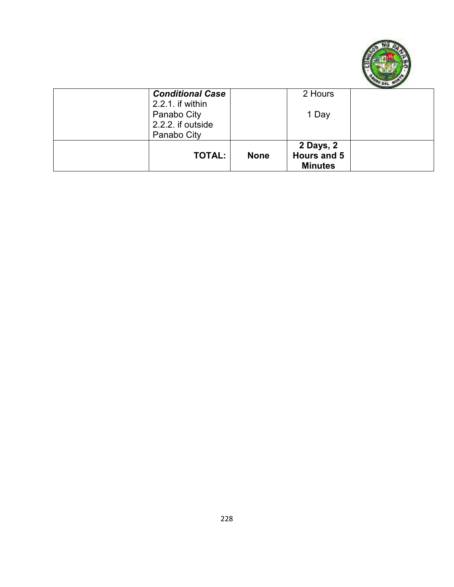

| <b>Conditional Case</b><br>2.2.1. if within<br>Panabo City<br>2.2.2. if outside<br>Panabo City |             | 2 Hours<br>1 Day                           |  |
|------------------------------------------------------------------------------------------------|-------------|--------------------------------------------|--|
| <b>TOTAL:</b>                                                                                  | <b>None</b> | 2 Days, 2<br>Hours and 5<br><b>Minutes</b> |  |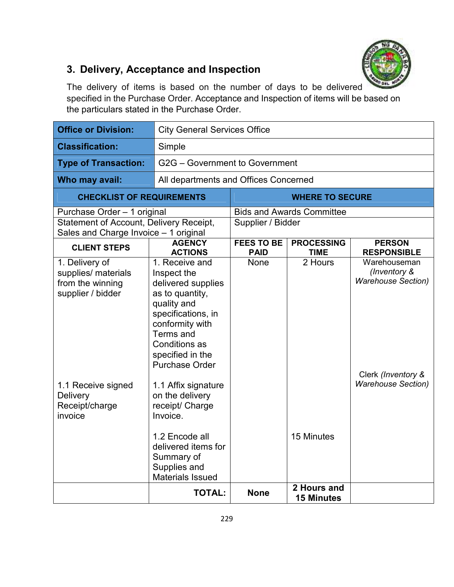

### **3. Delivery, Acceptance and Inspection**

The delivery of items is based on the number of days to be delivered specified in the Purchase Order. Acceptance and Inspection of items will be based on the particulars stated in the Purchase Order.

| <b>Office or Division:</b>                                                       |                                                                                                                                                                                                                  | <b>City General Services Office</b> |                                  |                                                           |  |
|----------------------------------------------------------------------------------|------------------------------------------------------------------------------------------------------------------------------------------------------------------------------------------------------------------|-------------------------------------|----------------------------------|-----------------------------------------------------------|--|
| <b>Classification:</b>                                                           | Simple                                                                                                                                                                                                           |                                     |                                  |                                                           |  |
| <b>Type of Transaction:</b>                                                      | G2G - Government to Government                                                                                                                                                                                   |                                     |                                  |                                                           |  |
| Who may avail:                                                                   | All departments and Offices Concerned                                                                                                                                                                            |                                     |                                  |                                                           |  |
| <b>CHECKLIST OF REQUIREMENTS</b>                                                 |                                                                                                                                                                                                                  |                                     | <b>WHERE TO SECURE</b>           |                                                           |  |
| Purchase Order - 1 original                                                      |                                                                                                                                                                                                                  |                                     | <b>Bids and Awards Committee</b> |                                                           |  |
| Statement of Account, Delivery Receipt,<br>Sales and Charge Invoice - 1 original |                                                                                                                                                                                                                  | Supplier / Bidder                   |                                  |                                                           |  |
| <b>CLIENT STEPS</b>                                                              | <b>AGENCY</b><br><b>ACTIONS</b>                                                                                                                                                                                  | <b>FEES TO BE</b><br><b>PAID</b>    | <b>PROCESSING</b><br><b>TIME</b> | <b>PERSON</b><br><b>RESPONSIBLE</b>                       |  |
| 1. Delivery of<br>supplies/ materials<br>from the winning<br>supplier / bidder   | 1. Receive and<br>Inspect the<br>delivered supplies<br>as to quantity,<br>quality and<br>specifications, in<br>conformity with<br>Terms and<br><b>Conditions as</b><br>specified in the<br><b>Purchase Order</b> | <b>None</b>                         | 2 Hours                          | Warehouseman<br>(Inventory &<br><b>Warehouse Section)</b> |  |
| 1.1 Receive signed<br><b>Delivery</b><br>Receipt/charge<br>invoice               | 1.1 Affix signature<br>on the delivery<br>receipt/ Charge<br>Invoice.<br>1.2 Encode all<br>delivered items for                                                                                                   |                                     | 15 Minutes                       | Clerk (Inventory &<br><b>Warehouse Section)</b>           |  |
|                                                                                  | Summary of<br>Supplies and<br><b>Materials Issued</b><br><b>TOTAL:</b>                                                                                                                                           | <b>None</b>                         | 2 Hours and                      |                                                           |  |
|                                                                                  |                                                                                                                                                                                                                  |                                     | <b>15 Minutes</b>                |                                                           |  |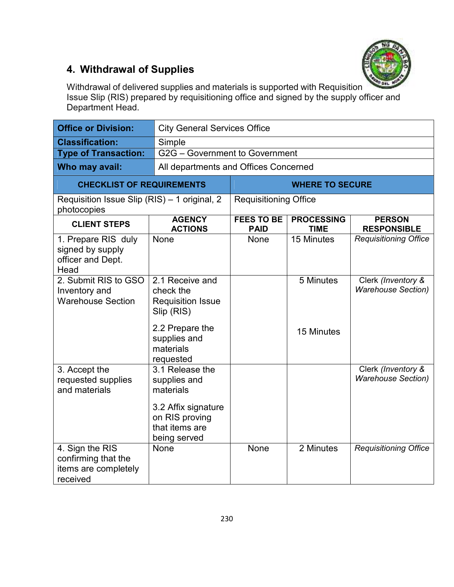

### **4. Withdrawal of Supplies**

Withdrawal of delivered supplies and materials is supported with Requisition Issue Slip (RIS) prepared by requisitioning office and signed by the supply officer and Department Head.

| <b>Office or Division:</b>                                                 | <b>City General Services Office</b>                                                                                                 |                                  |                                  |                                                 |
|----------------------------------------------------------------------------|-------------------------------------------------------------------------------------------------------------------------------------|----------------------------------|----------------------------------|-------------------------------------------------|
| <b>Classification:</b>                                                     | Simple                                                                                                                              |                                  |                                  |                                                 |
| <b>Type of Transaction:</b>                                                | G2G - Government to Government                                                                                                      |                                  |                                  |                                                 |
| Who may avail:                                                             | All departments and Offices Concerned                                                                                               |                                  |                                  |                                                 |
| <b>CHECKLIST OF REQUIREMENTS</b>                                           |                                                                                                                                     |                                  | <b>WHERE TO SECURE</b>           |                                                 |
| Requisition Issue Slip (RIS) - 1 original, 2<br>photocopies                |                                                                                                                                     | <b>Requisitioning Office</b>     |                                  |                                                 |
| <b>CLIENT STEPS</b>                                                        | <b>AGENCY</b><br><b>ACTIONS</b>                                                                                                     | <b>FEES TO BE</b><br><b>PAID</b> | <b>PROCESSING</b><br><b>TIME</b> | <b>PERSON</b><br><b>RESPONSIBLE</b>             |
| 1. Prepare RIS duly<br>signed by supply<br>officer and Dept.<br>Head       | None                                                                                                                                | <b>None</b>                      | 15 Minutes                       | <b>Requisitioning Office</b>                    |
| 2. Submit RIS to GSO<br>Inventory and<br><b>Warehouse Section</b>          | 2.1 Receive and<br>check the<br><b>Requisition Issue</b><br>Slip (RIS)<br>2.2 Prepare the<br>supplies and<br>materials<br>requested |                                  | 5 Minutes<br>15 Minutes          | Clerk (Inventory &<br><b>Warehouse Section)</b> |
| 3. Accept the<br>requested supplies<br>and materials                       | 3.1 Release the<br>supplies and<br>materials<br>3.2 Affix signature<br>on RIS proving<br>that items are<br>being served             |                                  |                                  | Clerk (Inventory &<br><b>Warehouse Section)</b> |
| 4. Sign the RIS<br>confirming that the<br>items are completely<br>received | <b>None</b>                                                                                                                         | None                             | 2 Minutes                        | <b>Requisitioning Office</b>                    |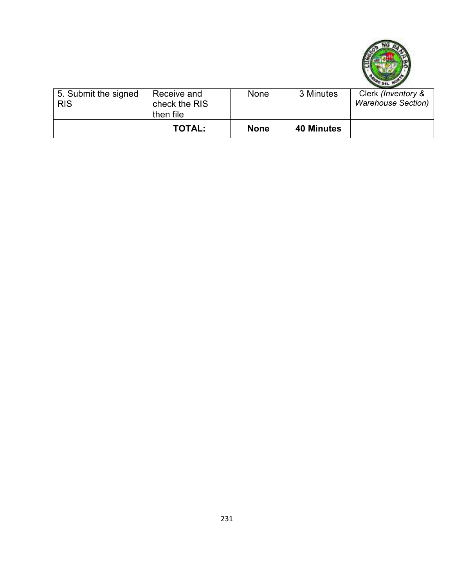

| 5. Submit the signed<br><b>RIS</b> | Receive and<br>check the RIS<br>then file | None        | 3 Minutes         | Clerk (Inventory &<br><b>Warehouse Section)</b> |
|------------------------------------|-------------------------------------------|-------------|-------------------|-------------------------------------------------|
|                                    | <b>TOTAL:</b>                             | <b>None</b> | <b>40 Minutes</b> |                                                 |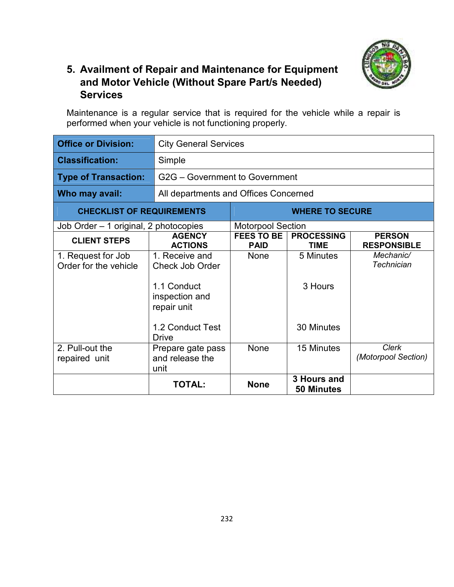

#### **5. Availment of Repair and Maintenance for Equipment and Motor Vehicle (Without Spare Part/s Needed) Services**

Maintenance is a regular service that is required for the vehicle while a repair is performed when your vehicle is not functioning properly.

| <b>Office or Division:</b>                  | <b>City General Services</b>                                                                                          |                                       |                                    |                                     |
|---------------------------------------------|-----------------------------------------------------------------------------------------------------------------------|---------------------------------------|------------------------------------|-------------------------------------|
| <b>Classification:</b>                      | Simple                                                                                                                |                                       |                                    |                                     |
| <b>Type of Transaction:</b>                 | G2G - Government to Government                                                                                        |                                       |                                    |                                     |
| Who may avail:                              |                                                                                                                       | All departments and Offices Concerned |                                    |                                     |
| <b>CHECKLIST OF REQUIREMENTS</b>            |                                                                                                                       |                                       | <b>WHERE TO SECURE</b>             |                                     |
| Job Order - 1 original, 2 photocopies       |                                                                                                                       | <b>Motorpool Section</b>              |                                    |                                     |
| <b>CLIENT STEPS</b>                         | <b>AGENCY</b><br><b>ACTIONS</b>                                                                                       | <b>FEES TO BE</b><br><b>PAID</b>      | <b>PROCESSING</b><br><b>TIME</b>   | <b>PERSON</b><br><b>RESPONSIBLE</b> |
| 1. Request for Job<br>Order for the vehicle | 1. Receive and<br><b>Check Job Order</b><br>1.1 Conduct<br>inspection and<br>repair unit<br>1.2 Conduct Test<br>Drive | <b>None</b>                           | 5 Minutes<br>3 Hours<br>30 Minutes | Mechanic/<br><b>Technician</b>      |
| 2. Pull-out the<br>repaired unit            | Prepare gate pass<br>and release the<br>unit                                                                          | <b>None</b>                           | 15 Minutes                         | <b>Clerk</b><br>(Motorpool Section) |
|                                             | <b>TOTAL:</b>                                                                                                         | <b>None</b>                           | 3 Hours and<br><b>50 Minutes</b>   |                                     |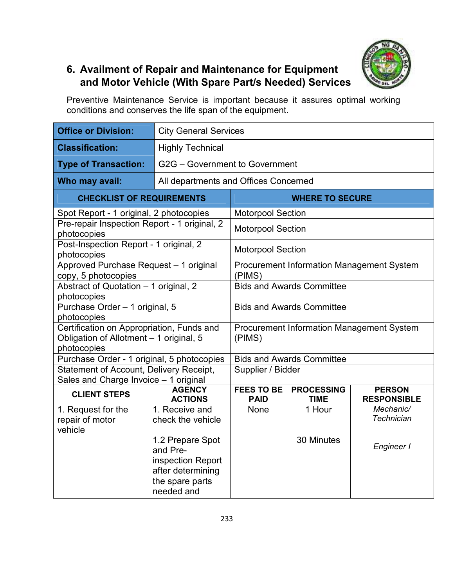

#### **6. Availment of Repair and Maintenance for Equipment and Motor Vehicle (With Spare Part/s Needed) Services**

Preventive Maintenance Service is important because it assures optimal working conditions and conserves the life span of the equipment.

| <b>Office or Division:</b>                                                                          | <b>City General Services</b>                                            |                                                     |                                                  |                                              |  |
|-----------------------------------------------------------------------------------------------------|-------------------------------------------------------------------------|-----------------------------------------------------|--------------------------------------------------|----------------------------------------------|--|
| <b>Classification:</b>                                                                              | <b>Highly Technical</b>                                                 |                                                     |                                                  |                                              |  |
| <b>Type of Transaction:</b>                                                                         | G2G - Government to Government                                          |                                                     |                                                  |                                              |  |
| Who may avail:                                                                                      | All departments and Offices Concerned                                   |                                                     |                                                  |                                              |  |
| <b>CHECKLIST OF REQUIREMENTS</b>                                                                    |                                                                         |                                                     | <b>WHERE TO SECURE</b>                           |                                              |  |
| Spot Report - 1 original, 2 photocopies                                                             |                                                                         | <b>Motorpool Section</b>                            |                                                  |                                              |  |
| Pre-repair Inspection Report - 1 original, 2<br>photocopies                                         |                                                                         | <b>Motorpool Section</b>                            |                                                  |                                              |  |
| Post-Inspection Report - 1 original, 2<br>photocopies                                               |                                                                         | <b>Motorpool Section</b>                            |                                                  |                                              |  |
| Approved Purchase Request - 1 original<br>copy, 5 photocopies                                       |                                                                         | Procurement Information Management System<br>(PIMS) |                                                  |                                              |  |
| Abstract of Quotation - 1 original, 2<br>photocopies                                                |                                                                         | <b>Bids and Awards Committee</b>                    |                                                  |                                              |  |
| Purchase Order - 1 original, 5<br>photocopies                                                       |                                                                         | <b>Bids and Awards Committee</b>                    |                                                  |                                              |  |
| Certification on Appropriation, Funds and<br>Obligation of Allotment - 1 original, 5<br>photocopies |                                                                         | (PIMS)                                              | <b>Procurement Information Management System</b> |                                              |  |
| Purchase Order - 1 original, 5 photocopies                                                          |                                                                         |                                                     | <b>Bids and Awards Committee</b>                 |                                              |  |
| Statement of Account, Delivery Receipt,<br>Sales and Charge Invoice - 1 original                    |                                                                         | Supplier / Bidder                                   |                                                  |                                              |  |
| <b>CLIENT STEPS</b>                                                                                 | <b>AGENCY</b><br><b>ACTIONS</b>                                         | <b>FEES TO BE</b><br><b>PAID</b>                    | <b>PROCESSING</b><br><b>TIME</b>                 | <b>PERSON</b><br><b>RESPONSIBLE</b>          |  |
| 1. Request for the<br>repair of motor<br>vehicle                                                    | 1. Receive and<br>check the vehicle<br>1.2 Prepare Spot<br>and Pre-     | <b>None</b>                                         | 1 Hour<br>30 Minutes                             | Mechanic/<br><b>Technician</b><br>Engineer I |  |
|                                                                                                     | inspection Report<br>after determining<br>the spare parts<br>needed and |                                                     |                                                  |                                              |  |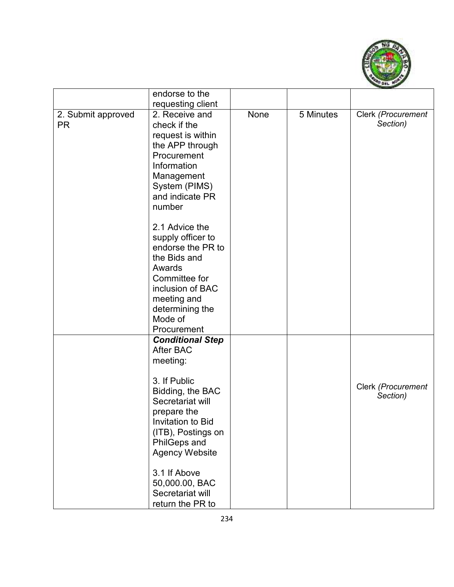

|                                 | endorse to the                                                                                                                                                                                                                                                                                                                                          |      |           |                                |
|---------------------------------|---------------------------------------------------------------------------------------------------------------------------------------------------------------------------------------------------------------------------------------------------------------------------------------------------------------------------------------------------------|------|-----------|--------------------------------|
|                                 | requesting client                                                                                                                                                                                                                                                                                                                                       |      |           |                                |
| 2. Submit approved<br><b>PR</b> | 2. Receive and<br>check if the<br>request is within<br>the APP through<br>Procurement<br>Information<br>Management<br>System (PIMS)<br>and indicate PR<br>number<br>2.1 Advice the<br>supply officer to<br>endorse the PR to<br>the Bids and<br>Awards<br>Committee for<br>inclusion of BAC<br>meeting and<br>determining the<br>Mode of<br>Procurement | None | 5 Minutes | Clerk (Procurement<br>Section) |
|                                 | <b>Conditional Step</b><br><b>After BAC</b><br>meeting:<br>3. If Public<br>Bidding, the BAC<br>Secretariat will<br>prepare the<br>Invitation to Bid<br>(ITB), Postings on<br><b>PhilGeps and</b><br><b>Agency Website</b><br>3.1 If Above<br>50,000.00, BAC<br>Secretariat will<br>return the PR to                                                     |      |           | Clerk (Procurement<br>Section) |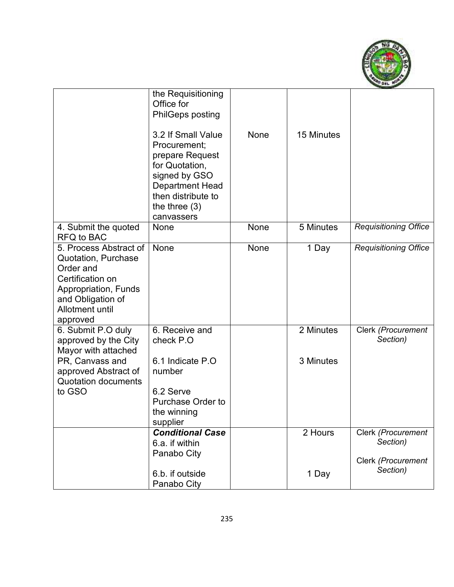

|                                                                                                                                                                   | the Requisitioning<br>Office for<br><b>PhilGeps posting</b>                                                                                                               |      |            |                                |
|-------------------------------------------------------------------------------------------------------------------------------------------------------------------|---------------------------------------------------------------------------------------------------------------------------------------------------------------------------|------|------------|--------------------------------|
|                                                                                                                                                                   | 3.2 If Small Value<br>Procurement;<br>prepare Request<br>for Quotation,<br>signed by GSO<br><b>Department Head</b><br>then distribute to<br>the three $(3)$<br>canvassers | None | 15 Minutes |                                |
| 4. Submit the quoted<br>RFQ to BAC                                                                                                                                | <b>None</b>                                                                                                                                                               | None | 5 Minutes  | <b>Requisitioning Office</b>   |
| 5. Process Abstract of<br><b>Quotation, Purchase</b><br>Order and<br>Certification on<br>Appropriation, Funds<br>and Obligation of<br>Allotment until<br>approved | None                                                                                                                                                                      | None | 1 Day      | <b>Requisitioning Office</b>   |
| 6. Submit P.O duly<br>approved by the City<br>Mayor with attached                                                                                                 | 6. Receive and<br>check P.O                                                                                                                                               |      | 2 Minutes  | Clerk (Procurement<br>Section) |
| PR, Canvass and<br>approved Abstract of<br><b>Quotation documents</b>                                                                                             | 6.1 Indicate P.O.<br>number                                                                                                                                               |      | 3 Minutes  |                                |
| to GSO                                                                                                                                                            | 6.2 Serve<br><b>Purchase Order to</b><br>the winning<br>supplier                                                                                                          |      |            |                                |
|                                                                                                                                                                   | <b>Conditional Case</b><br>6.a. if within<br>Panabo City                                                                                                                  |      | 2 Hours    | Clerk (Procurement<br>Section) |
|                                                                                                                                                                   | 6.b. if outside<br>Panabo City                                                                                                                                            |      | 1 Day      | Clerk (Procurement<br>Section) |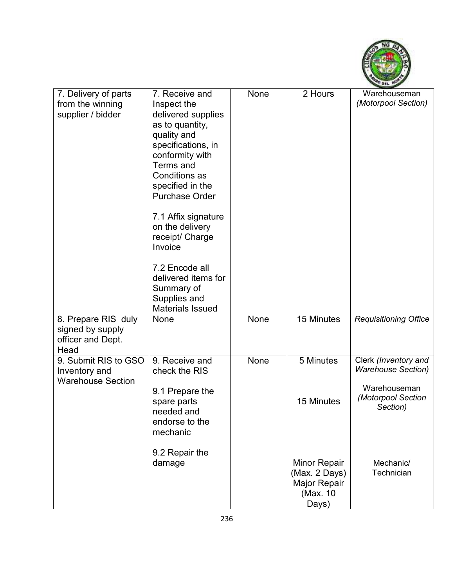

| 7. Delivery of parts<br>from the winning<br>supplier / bidder        | 7. Receive and<br>Inspect the<br>delivered supplies<br>as to quantity,<br>quality and<br>specifications, in<br>conformity with<br>Terms and<br><b>Conditions as</b><br>specified in the<br><b>Purchase Order</b><br>7.1 Affix signature<br>on the delivery<br>receipt/ Charge<br>Invoice<br>7.2 Encode all<br>delivered items for<br>Summary of<br>Supplies and<br><b>Materials Issued</b> | None | 2 Hours                                                                   | Warehouseman<br>(Motorpool Section)                                                                 |
|----------------------------------------------------------------------|--------------------------------------------------------------------------------------------------------------------------------------------------------------------------------------------------------------------------------------------------------------------------------------------------------------------------------------------------------------------------------------------|------|---------------------------------------------------------------------------|-----------------------------------------------------------------------------------------------------|
| 8. Prepare RIS duly<br>signed by supply<br>officer and Dept.<br>Head | None                                                                                                                                                                                                                                                                                                                                                                                       | None | 15 Minutes                                                                | <b>Requisitioning Office</b>                                                                        |
| 9. Submit RIS to GSO<br>Inventory and<br><b>Warehouse Section</b>    | 9. Receive and<br>check the RIS<br>9.1 Prepare the<br>spare parts<br>needed and<br>endorse to the<br>mechanic                                                                                                                                                                                                                                                                              | None | 5 Minutes<br>15 Minutes                                                   | Clerk (Inventory and<br><b>Warehouse Section)</b><br>Warehouseman<br>(Motorpool Section<br>Section) |
|                                                                      | 9.2 Repair the<br>damage                                                                                                                                                                                                                                                                                                                                                                   |      | <b>Minor Repair</b><br>(Max. 2 Days)<br>Major Repair<br>(Max. 10<br>Days) | Mechanic/<br>Technician                                                                             |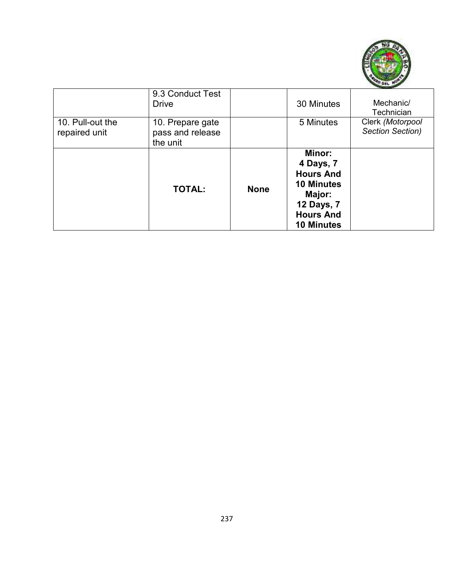

|                                   | 9.3 Conduct Test<br><b>Drive</b>                 |             | 30 Minutes                                                                                                                           | Mechanic/<br>Technician              |
|-----------------------------------|--------------------------------------------------|-------------|--------------------------------------------------------------------------------------------------------------------------------------|--------------------------------------|
| 10. Pull-out the<br>repaired unit | 10. Prepare gate<br>pass and release<br>the unit |             | 5 Minutes                                                                                                                            | Clerk (Motorpool<br>Section Section) |
|                                   | <b>TOTAL:</b>                                    | <b>None</b> | Minor:<br>4 Days, 7<br><b>Hours And</b><br><b>10 Minutes</b><br>Major:<br><b>12 Days, 7</b><br><b>Hours And</b><br><b>10 Minutes</b> |                                      |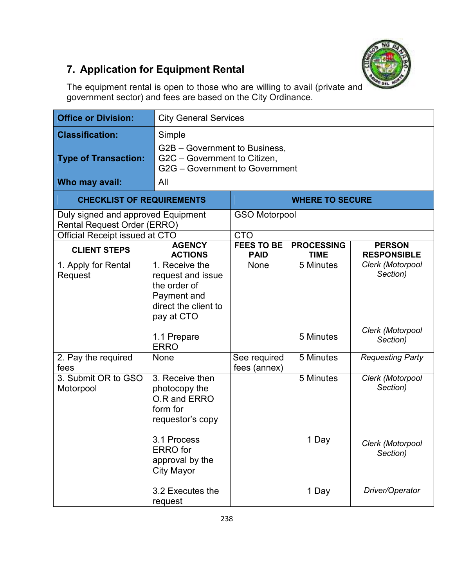

# **7. Application for Equipment Rental**

The equipment rental is open to those who are willing to avail (private and government sector) and fees are based on the City Ordinance.

| <b>Office or Division:</b>                                               | <b>City General Services</b>                                                                             |                                  |                                  |                                     |  |
|--------------------------------------------------------------------------|----------------------------------------------------------------------------------------------------------|----------------------------------|----------------------------------|-------------------------------------|--|
| <b>Classification:</b>                                                   | Simple                                                                                                   |                                  |                                  |                                     |  |
| <b>Type of Transaction:</b>                                              | G2B - Government to Business,<br>G2C - Government to Citizen,<br>G2G - Government to Government          |                                  |                                  |                                     |  |
| Who may avail:                                                           | All                                                                                                      |                                  |                                  |                                     |  |
|                                                                          | <b>CHECKLIST OF REQUIREMENTS</b>                                                                         |                                  | <b>WHERE TO SECURE</b>           |                                     |  |
| Duly signed and approved Equipment<br><b>Rental Request Order (ERRO)</b> |                                                                                                          | <b>GSO Motorpool</b>             |                                  |                                     |  |
| Official Receipt issued at CTO                                           |                                                                                                          | <b>CTO</b>                       |                                  |                                     |  |
| <b>CLIENT STEPS</b>                                                      | <b>AGENCY</b><br><b>ACTIONS</b>                                                                          | <b>FEES TO BE</b><br><b>PAID</b> | <b>PROCESSING</b><br><b>TIME</b> | <b>PERSON</b><br><b>RESPONSIBLE</b> |  |
| 1. Apply for Rental<br>Request                                           | 1. Receive the<br>request and issue<br>the order of<br>Payment and<br>direct the client to<br>pay at CTO | None                             | 5 Minutes                        | Clerk (Motorpool<br>Section)        |  |
|                                                                          | 1.1 Prepare<br><b>ERRO</b>                                                                               |                                  | 5 Minutes                        | Clerk (Motorpool<br>Section)        |  |
| 2. Pay the required<br>fees                                              | None                                                                                                     | See required<br>fees (annex)     | 5 Minutes                        | <b>Requesting Party</b>             |  |
| 3. Submit OR to GSO<br>Motorpool                                         | 3. Receive then<br>photocopy the<br>O.R and ERRO<br>form for<br>requestor's copy                         |                                  | 5 Minutes                        | Clerk (Motorpool<br>Section)        |  |
|                                                                          | 3.1 Process<br><b>ERRO</b> for<br>approval by the<br><b>City Mayor</b>                                   |                                  | 1 Day                            | Clerk (Motorpool<br>Section)        |  |
|                                                                          | 3.2 Executes the<br>request                                                                              |                                  | 1 Day                            | Driver/Operator                     |  |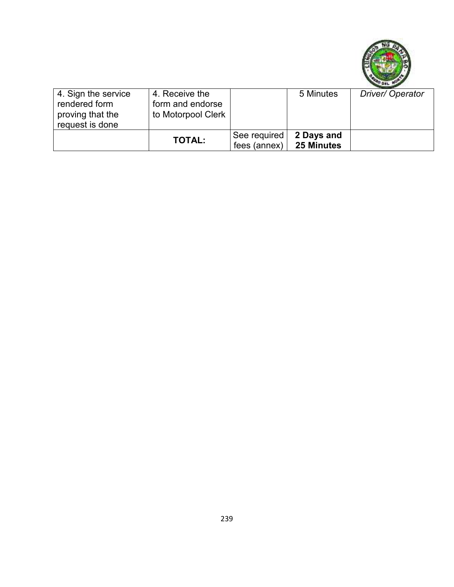

| 4. Sign the service | 4. Receive the     |                  | 5 Minutes  | Driver/Operator |
|---------------------|--------------------|------------------|------------|-----------------|
| rendered form       | form and endorse   |                  |            |                 |
| proving that the    | to Motorpool Clerk |                  |            |                 |
| request is done     |                    |                  |            |                 |
|                     |                    | See required     | 2 Days and |                 |
|                     | <b>TOTAL:</b>      | fees (annex) $ $ | 25 Minutes |                 |